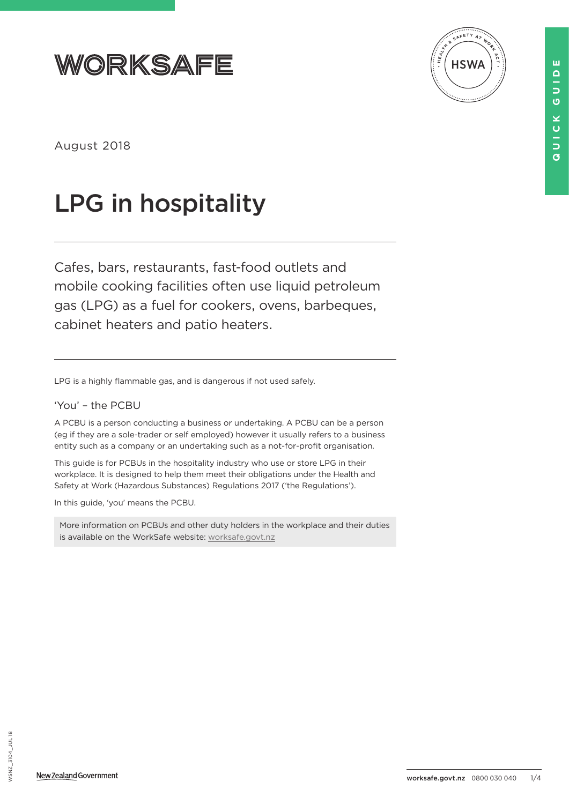



August 2018

# LPG in hospitality

Cafes, bars, restaurants, fast-food outlets and mobile cooking facilities often use liquid petroleum gas (LPG) as a fuel for cookers, ovens, barbeques, cabinet heaters and patio heaters.

LPG is a highly flammable gas, and is dangerous if not used safely.

## 'You' – the PCBU

A PCBU is a person conducting a business or undertaking. A PCBU can be a person (eg if they are a sole-trader or self employed) however it usually refers to a business entity such as a company or an undertaking such as a not-for-profit organisation.

This guide is for PCBUs in the hospitality industry who use or store LPG in their workplace. It is designed to help them meet their obligations under the Health and Safety at Work (Hazardous Substances) Regulations 2017 ('the Regulations').

In this guide, 'you' means the PCBU.

More information on PCBUs and other duty holders in the workplace and their duties is available on the WorkSafe website: [worksafe.govt.nz](http://worksafe.govt.nz)



ш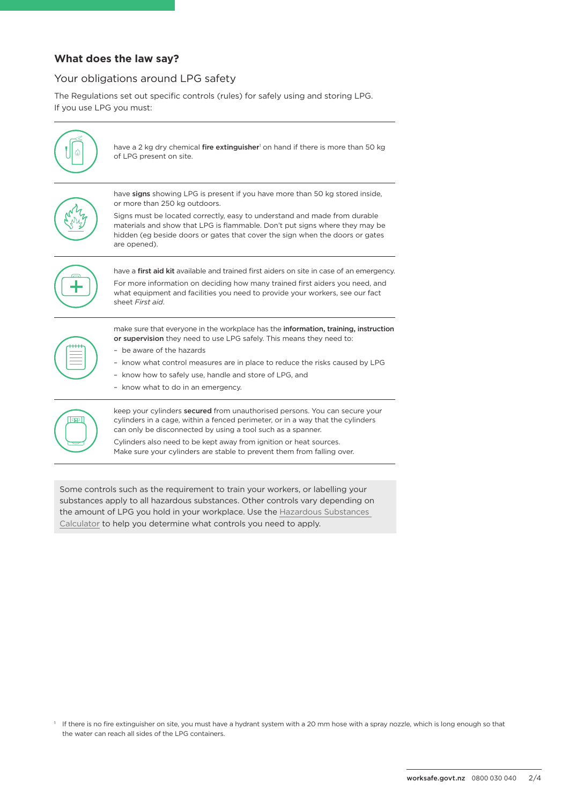#### **What does the law say?**

# Your obligations around LPG safety

The Regulations set out specific controls (rules) for safely using and storing LPG. If you use LPG you must:



have a 2 kg dry chemical **fire extinguisher'** on hand if there is more than 50 kg of LPG present on site.



have signs showing LPG is present if you have more than 50 kg stored inside, or more than 250 kg outdoors.

Signs must be located correctly, easy to understand and made from durable materials and show that LPG is flammable. Don't put signs where they may be hidden (eg beside doors or gates that cover the sign when the doors or gates are opened).



have a first aid kit available and trained first aiders on site in case of an emergency. For more information on deciding how many trained first aiders you need, and what equipment and facilities you need to provide your workers, see our fact sheet *First aid*.



make sure that everyone in the workplace has the information, training, instruction or supervision they need to use LPG safely. This means they need to:

- be aware of the hazards
- know what control measures are in place to reduce the risks caused by LPG
- know how to safely use, handle and store of LPG, and
- know what to do in an emergency.



keep your cylinders secured from unauthorised persons. You can secure your cylinders in a cage, within a fenced perimeter, or in a way that the cylinders can only be disconnected by using a tool such as a spanner. Cylinders also need to be kept away from ignition or heat sources.

Make sure your cylinders are stable to prevent them from falling over.

Some controls such as the requirement to train your workers, or labelling your substances apply to all hazardous substances. Other controls vary depending on the amount of LPG you hold in your workplace. Use the [Hazardous Substances](https://hazardoussubstances.govt.nz/calculator)  [Calculator](https://hazardoussubstances.govt.nz/calculator) to help you determine what controls you need to apply.

<sup>1</sup> If there is no fire extinguisher on site, you must have a hydrant system with a 20 mm hose with a spray nozzle, which is long enough so that the water can reach all sides of the LPG containers.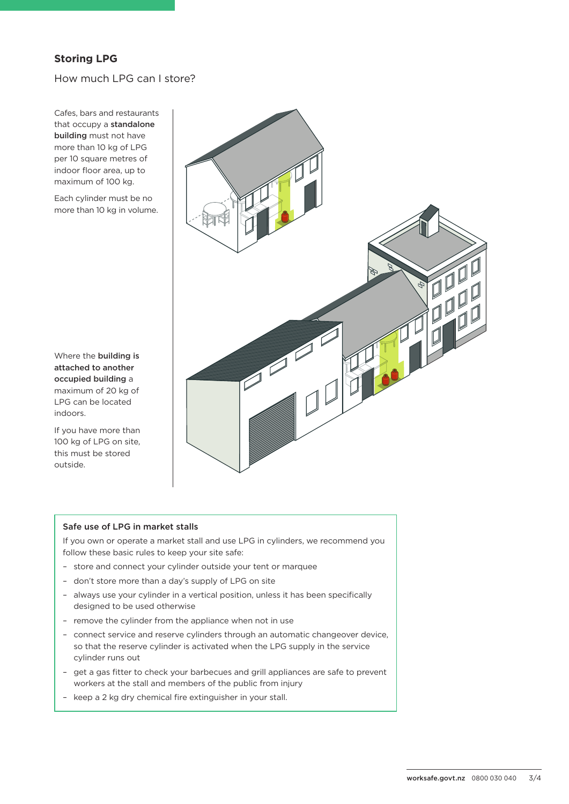# **Storing LPG**

## How much LPG can I store?

Cafes, bars and restaurants that occupy a standalone building must not have more than 10 kg of LPG per 10 square metres of indoor floor area, up to maximum of 100 kg.

Each cylinder must be no more than 10 kg in volume.

Where the building is attached to another occupied building a maximum of 20 kg of LPG can be located indoors.

If you have more than 100 kg of LPG on site, this must be stored outside.



#### Safe use of LPG in market stalls

If you own or operate a market stall and use LPG in cylinders, we recommend you follow these basic rules to keep your site safe:

- store and connect your cylinder outside your tent or marquee
- don't store more than a day's supply of LPG on site
- always use your cylinder in a vertical position, unless it has been specifically designed to be used otherwise
- remove the cylinder from the appliance when not in use
- connect service and reserve cylinders through an automatic changeover device, so that the reserve cylinder is activated when the LPG supply in the service cylinder runs out
- get a gas fitter to check your barbecues and grill appliances are safe to prevent workers at the stall and members of the public from injury
- keep a 2 kg dry chemical fire extinguisher in your stall.